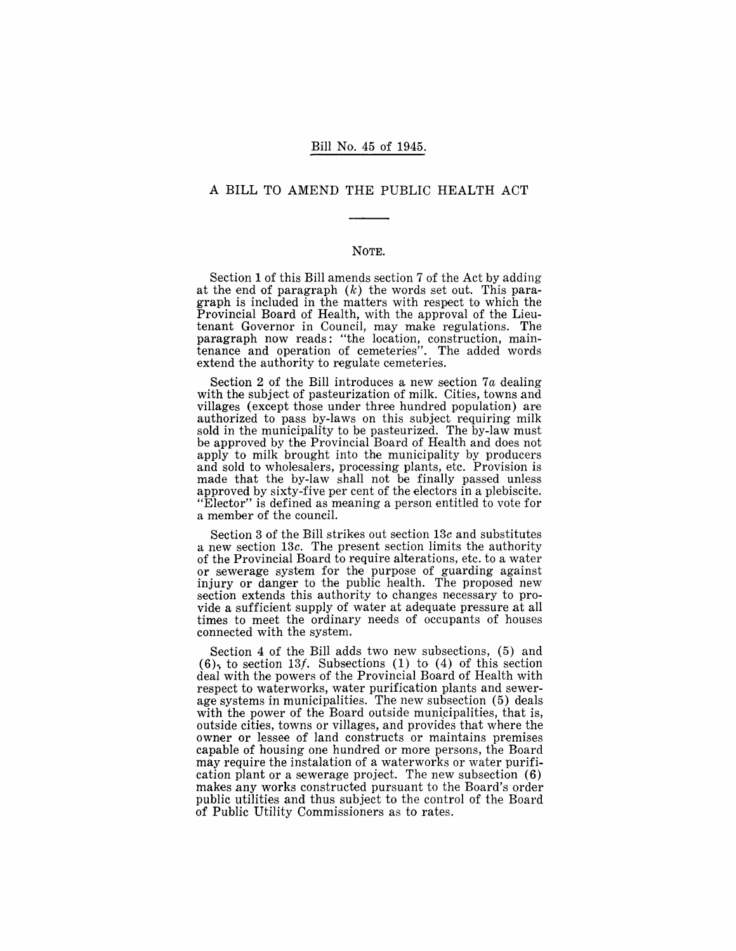#### Bill No. 45 of 1945.

#### A BILL TO AMEND THE PUBLIC HEALTH ACT

#### NOTE.

Section 1 of this Bill amends section 7 of the Act by adding at the end of paragraph  $(k)$  the words set out. This paragraph is included in the matters with respect to which the Provincial Board of Health, with the approval of the Lieutenant Governor in Council, may make regulations. The paragraph now reads: "the location, construction, maintenance and operation of cemeteries". The added words extend the authority to regulate cemeteries.

Section 2 of the Bill introduces a new section *7a* dealing with the subject of pasteurization of milk. Cities, towns and villages (except those under three hundred population) are authorized to pass by-laws on this subject requiring milk sold in the municipality to be pasteurized. The by-law must be approved by the Provincial Board of Health and does not apply to milk brought into the municipality by producers and sold to wholesalers, processing plants, etc. Provision is made that the by-law shall not be finally passed unless approved by sixty-five per cent of the electors in a plebiscite. "Elector" is defined as meaning a person entitled to vote for a member of the council.

Section 3 of the Bill strikes out section *13c* and substitutes a new section *13c.* The present section limits the authority of the Provincial Board to require alterations, etc. to a water or sewerage system for the purpose of guarding against injury or danger to the public health. The proposed new section extends this authority to changes necessary to provide a sufficient supply of water at adequate pressure at all times to meet the ordinary needs of occupants of houses connected with the system.

Section 4 of the Bill adds two new subsections, (5) and  $(6)$ , to section 13f. Subsections  $(1)$  to  $(4)$  of this section deal with the powers of the Provincial Board of Health with respect to waterworks, water purification plants and sewerage systems in municipalities. The new subsection (5) deals with the power of the Board outside municipalities, that is, outside cities, towns or villages, and provides that where the owner or lessee of land constructs or maintains premises capable of housing one hundred or more persons, the Board may require the instalation of a waterworks or water purification plant or a sewerage project. The new subsection (6) makes any works constructed pursuant to the Board's order public utilities and thus subject to the control of the Board of Public Utility Commissioners as to rates.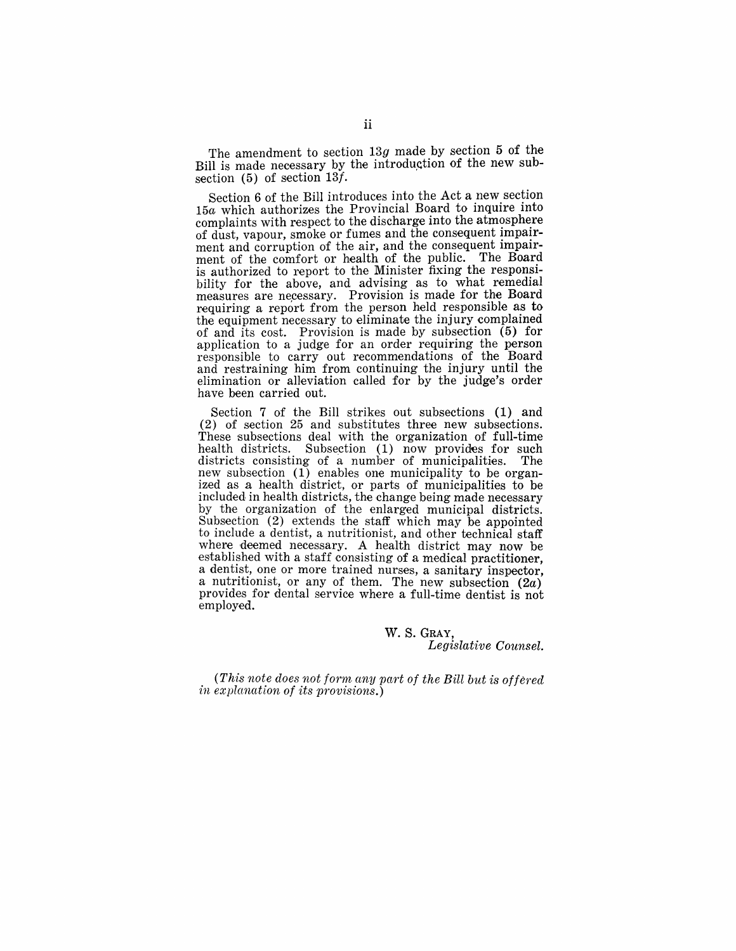The amendment to section *13g* made by section 5 of the Bill is made necessary by the introduction of the new subsection (5) of section *13f·* 

Section 6 of the Bill introduces into the Act a new section *15a* which authorizes the Provincial Board to inquire into complaints with respect to the discharge into the atmosphere of dust, vapour, smoke or fumes and the consequent impairment and corruption of the air, and the consequent impairment of the comfort or health of the public. The Board is authorized to report to the Minister fixing the responsibility for the above, and advising as to what remedial measures are necessary. Provision is made for the Board requiring a report from the person held responsible as to the equipment necessary to eliminate the injury complained of and its cost. Provision is made by subsection  $(5)$  for application to a judge for an order requiring the person responsible to carry out recommendations of the Board and restraining him from continuing the injury until the elimination or alleviation called for by the judge's order have been carried out.

Section 7 of the Bill strikes out subsections (1) and (2) of section 25 and substitutes three new subsections. These subsections deal with the organization of full-time health districts. Subsection  $(1)$  now provides for such districts consisting of a number of municipalities. The districts consisting of a number of municipalities. new subsection (1) enables one municipality to be organized as a health district, or parts of municipalities to be included in health districts, the change being made necessary by the organization of the enlarged municipal districts. Subsection (2) extends the staff which may be appointed to include a dentist, a nutritionist, and other technical staff where deemed necessary. A health district may now be established with a staff consisting of a medical practitioner. a dentist, one or more trained nurses, a sanitary inspector, a nutritionist, or any of them. The new subsection  $(2a)$ provides for dental service where a full-time dentist is not employed.

> W. S. GRAY, *Legislative Counsel.*

*(This note does not form any part of the Bill but is offered in explanation of its provisions.)*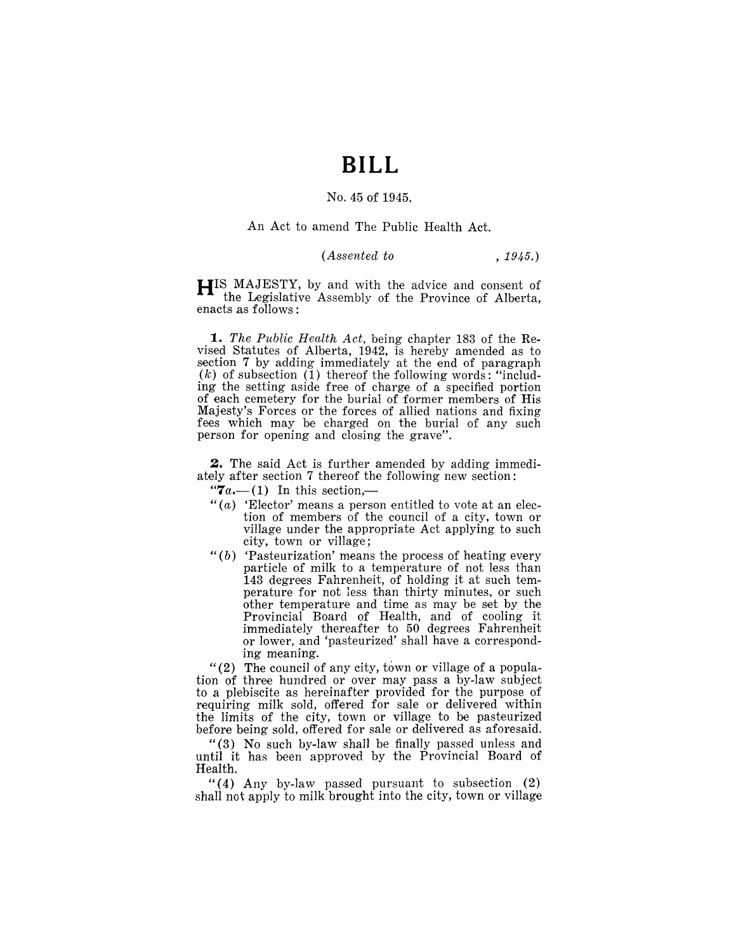## **BILL**

#### No. 45 of 1945.

#### An Act to amend The Public Health Act.

#### *(Assentecl to* , 1945.)

**HIS** MAJESTY, by and with the advice and consent of the Legislative Assembly of the Province of Alberta, enacts as follows:

*1. The Public Health Act,* being chapter 183 of the Revised Statutes of Alberta, 1942, is hereby amended as to section 7 by adding immediately at the end of paragraph  $(k)$  of subsection  $(1)$  thereof the following words: "including the setting aside free of charge of a specified portion of each cemetery for the burial of former members of His Majesty's Forces or the forces of allied nations and fixing fees which may be charged on the burial of any such person for opening and closing the grave".

**2.** The said Act is further amended by adding immediately after section 7 thereof the following new section:

" $7a$ .—(1) In this section,—

- " $(a)$  'Elector' means a person entitled to vote at an election of members of the council of a city, town or village under the appropriate Act applying to such city, town or village;
- " $(b)$  'Pasteurization' means the process of heating every particle of milk to a temperature of not less than 143 degrees Fahrenheit, of holding it at such temperature for not less than thirty minutes, or such other temperature and time as may be set by the Provincial Board of Health, and of cooling it immediately thereafter to 50 degrees Fahrenheit or lower, and 'pasteurized' shall have a corresponding meaning.

"(2) The council of any city, town or village of a population of three hundred or over may pass a by-law subject to a plebiscite as hereinafter provided for the purpose of requiring milk sold, offered for sale or delivered within the limits of the city, town or village to be pasteurized before being sold, offered for sale or delivered as aforesaid.

"(3) No such by-law shall be finally passed unless and until it has been approved by the Provincial Board of Health.

" $(4)$  Any by-law passed pursuant to subsection  $(2)$ shall not apply to milk brought into the city, town or village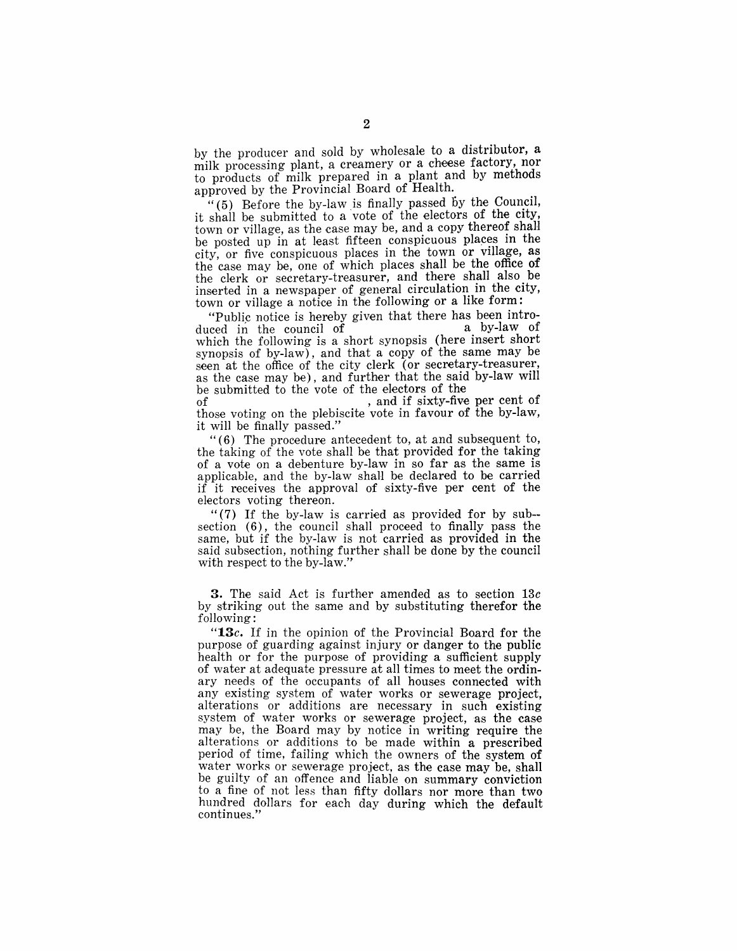by the producer and sold by wholesale to a distributor, a milk processing plant, a creamery or a cheese factory, nor to products of milk prepared in a plant and by methods approved by the Provincial Board of Health.

"(5) Before the by-law is finally passed by the Council, it shall be submitted to a vote of the electors of the city, town or village, as the case may be, and a copy thereof shall be posted up in at least fifteen conspicuous places in the city, or five conspicuous places in the town or VIllage, as the case may be, one of which places shall be the office of the clerk or secretary-treasurer, and there shall also be inserted in a newspaper of general circulation in the city, town or village a notice in the following or a like form:

"Public notice is hereby given that there has been intro-<br>used in the council of a by-law of duced in the council of which the following is a short synopsis (here insert short synopsis of by-law), and that a copy of the same may be seen at the office of the city clerk (or secretary-treasurer, as the case may be), and further that the said by-law will be submitted to the vote of the electors of the

, and if sixty-five per cent of those voting on the plebiscite vote in favour of the by-law, it will be finally passed."

"(6) The procedure antecedent to, at and subsequent to, the taking of the vote shall be that provided for the taking of a vote on a debenture by-law in so far as the same is applicable, and the by-law shaH be deelared to be carried if it receives the approval of sixty-five per cent of the electors voting thereon.

"(7) If the by-law is carried as provided for by sub- section (6), the council shall proceed to finally pass the same, but if the by-law is not carried as provided in the said subsection, nothing further shall be done by the council with respect to the by-law."

3. The said Act is further amended as to section *13c*  by striking out the same and by substituting therefor the following:

*"13c.* If in the opinion of the Provincial Board for the purpose of guarding against injury or danger to the public health or for the purpose of providing a sufficient supply of water at adequate pressure at all times to meet the ordinary needs of the occupants of all houses connected with any existing system of water works or sewerage project, alterations or additions are necessary in such existing system of water works or sewerage project, as the case may be, the Board may by notice in writing require the alterations or additions to be made within a prescribed period of time, failing which the owners of the system of water works or sewerage project, as the case may be, shall be guilty of an offence and liable on summary conviction to a fine of not less than fifty dollars nor more than two hundred dollars for each day during which the default continues."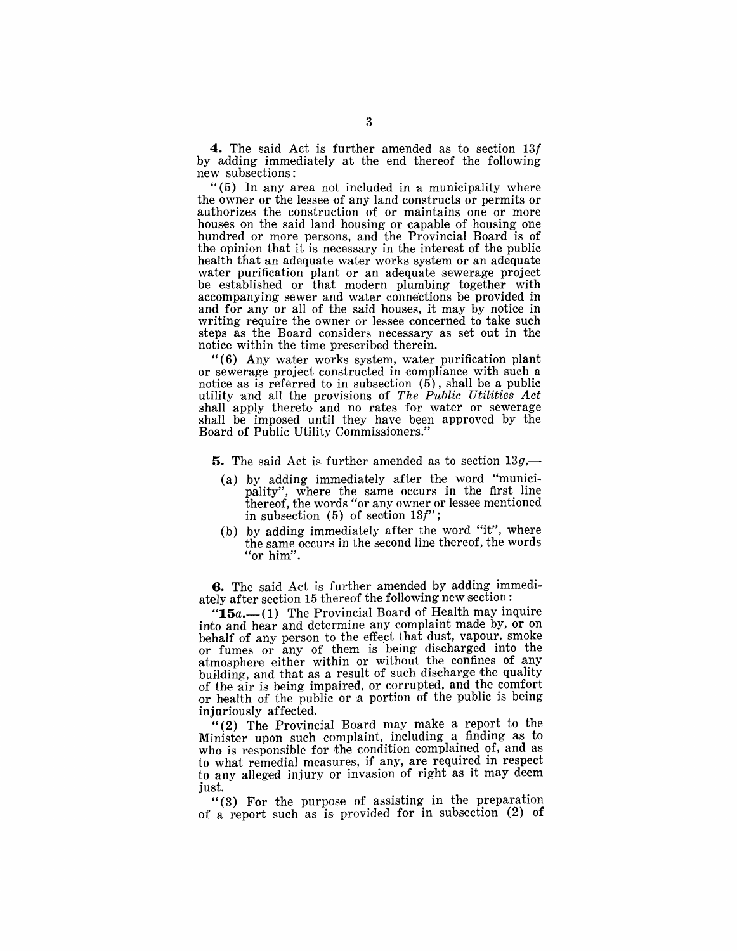**4.** The said Act is further amended as to section 13t by adding immediately at the end thereof the following new subsections:

 $(5)$  In any area not included in a municipality where the owner or the lessee of any land constructs or permits or authorizes the construction of or maintains one or more houses on the said land housing or capable of housing one hundred or more persons, and the Provincial Board is of the opinion that it is necessary in the interest of the public health that an adequate water works system or an adequate water purification plant or an adequate sewerage project be established or that modern plumbing together with accompanying sewer and water connections be provided in and for any or all of the said houses, it may by notice in writing require the owner or lessee concerned to take such steps as the Board considers necessary as set out in the notice within the time prescribed therein.

" (6) Any water works system, water purification plant or sewerage project constructed incompliance with such a notice as is referred to in subsection  $(5)$ , shall be a public utility 'and all the provisions of *The Public Utilities Act*  shall apply thereto and no rates for water or sewerage shall be imposed until they have been approved by the Board of Public Utility Commissioners."

**5.** The said Act is further amended as to section  $13g$ ,

- (a) by adding immediately after the word "municipality", where the same occurs in the first line thereof, the words "or any owner or lessee mentioned in subsection  $(5)$  of section  $13f$ ";
- (b) by adding immediately after the word "it", where the same occurs in the second line thereof, the words "or him".

**6.** The said Act is further amended by adding immediately after section 15 thereof the following new section:

"15a.--(1) The Provincial Board of Health may inquire into and hear and determine any complaint made by, or on behalf of any person to the effect that dust, vapour, smoke or fumes or any of them is being discharged into the atmosphere either within or without the confines of any building, and that as a result of such discharge the quality of the air is being impaired, or corrupted, and the comfort or health of the public or a portion of the public is being injuriously affected.

"(2) The Provincial Board may make a report to the Minister upon such complaint, including a finding as to who is responsible for the condition complained of, and as to what remedial measures, if any, are required in respect to any alleged injury or invasion of right as it may deem just.

"(3) For the purpose of assisting in the preparation of a report such as is, provided for in subsection (2) of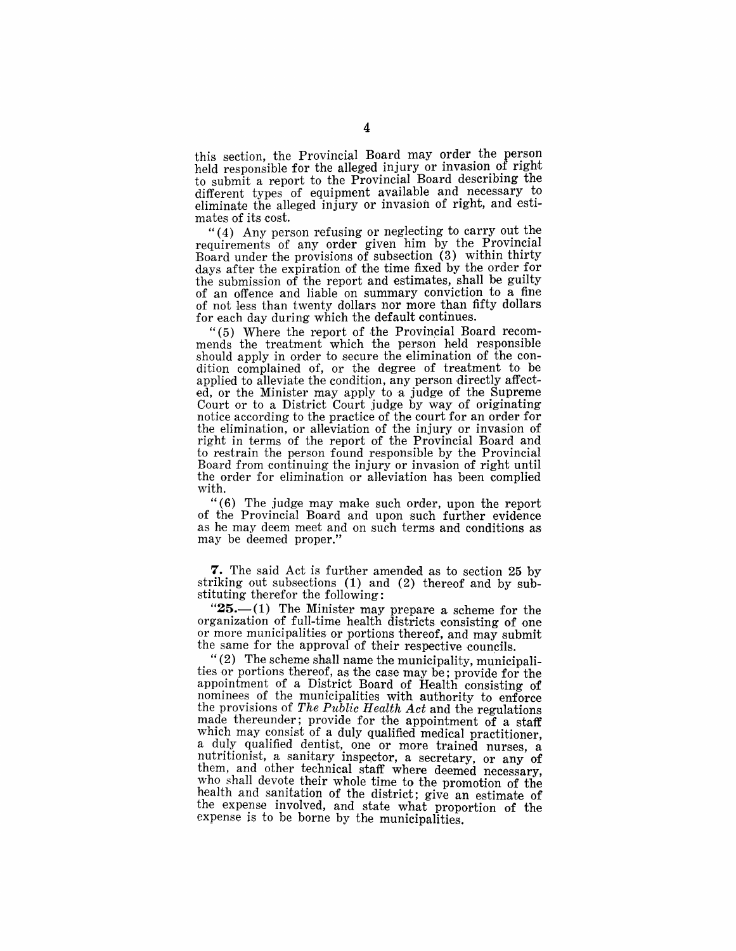this section, the Provincial Board may order the person held responsible for the alleged injury or invasion of right to submit a report to the Provincial Board describing the different types of equipment available and necessary to eliminate the alleged injury or invasion of right, and estimates of its cost.

" $(4)$  Any person refusing or neglecting to carry out the requirements of any order given him by the Provincial Board under the provisions of subsection  $(3)$  within thirty days after the expiration of the time fixed by the order for the submission of the report and estimates, shall be guilty of an offence and liable on summary conviction to a fine of not less than twenty dollars nor more than fifty dollars for each day during which the default continues.

" $(5)$  Where the report of the Provincial Board recommends the treatment which the person held responsible should apply in order to secure the elimination of the condition complained of, or the degree of treatment to be applied to alleviate the condition, any person directly affected, or the Minister may apply to a judge of the Supreme Court or to a District Court judge by way of originating notice according to the practice of the court for an order for the elimination, or alleviation of the injury or invasion of right in terms of the report of the Provincial Board and to restrain the person found responsible by the Provincial Board from continuing the injury or invasion of right until the order for elimination or alleviation has been complied with.

"(6) The judge may make such order, upon the report of the Provincial Board and upon such further evidence as he may deem meet and on such terms and conditions as may be deemed proper."

7. The said Act is further amended as to section 25 by striking out subsections (1) and (2) thereof and by substituting therefor the following:

 $"25$ . $-(1)$  The Minister may prepare a scheme for the organization of full-time health districts consisting of one or more municipalities or portions thereof, and may submit the same for the approval of their respective councils.

" $(2)$  The scheme shall name the municipality, municipalities or portions thereof, as the case may be; provide for the appointment of a District Board of Health consisting of nominees of the municipalities with authority to enforce the provisions of *The Public Health Act* and the regulations made thereunder; provide for the appointment of a staff which may consist of a duly qualified medical practitioner, a duly qualified dentist, one or more trained nurses, a nutritionist, a sanitary inspector, a secretary, or any of them, and other technical staff where deemed necessary, who shall devote their whole time to the promotion of the health and sanitation of the district; give an estimate of the expense involved, and state what proportion of the expense is to be borne by the municipalities.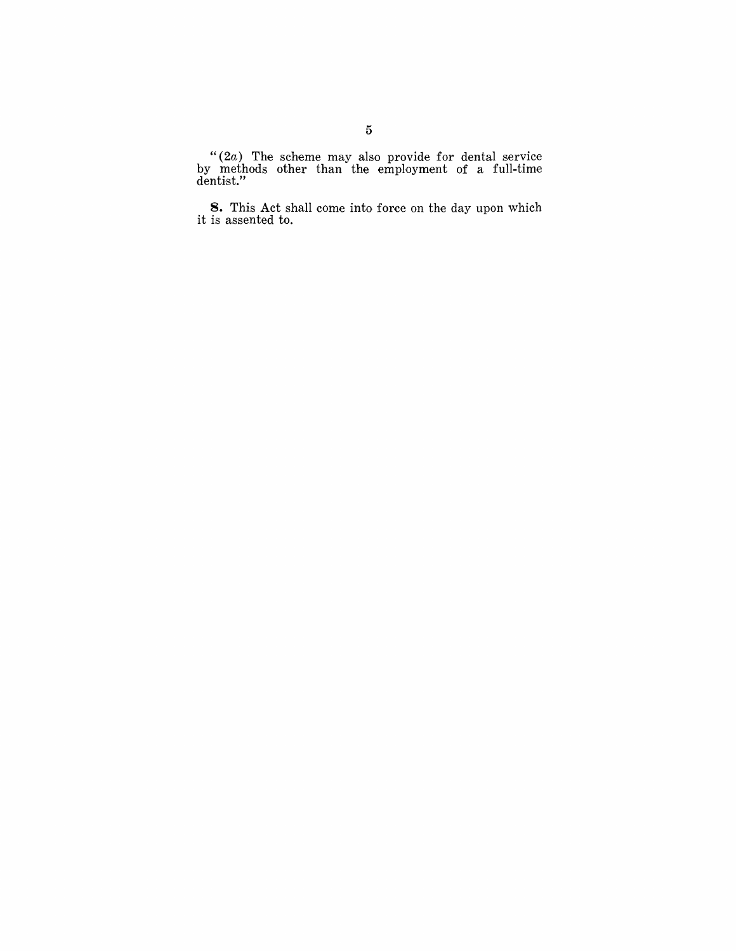"(2a) The scheme may also provide for dental service by methods other than the employment of a full-time dentist."

8. This Act shall come into force on the day upon which it is assented to.